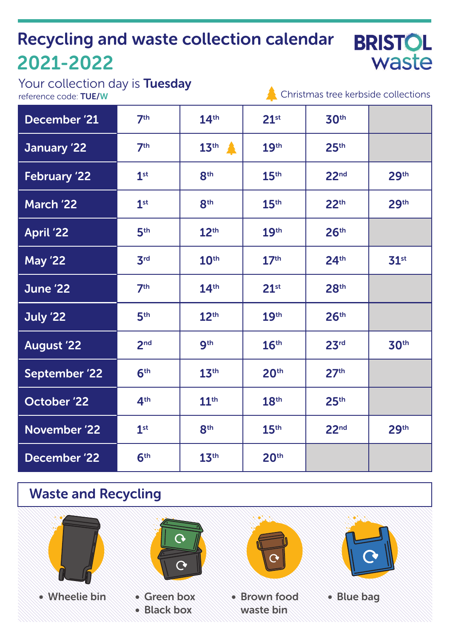# Recycling and waste collection calendar 2021-2022

**BRISTOL** waste

Your collection day is **Tuesday**<br>reference code: **TUE/W** 

 $\triangle$  Christmas tree kerbside collections

| December '21         | 7 <sup>th</sup> | 14 <sup>th</sup>   | 21 <sup>st</sup> | 30th             |                  |
|----------------------|-----------------|--------------------|------------------|------------------|------------------|
| January '22          | 7 <sup>th</sup> | $13th$ $\triangle$ | 19 <sup>th</sup> | 25 <sup>th</sup> |                  |
| <b>February '22</b>  | 1 <sup>st</sup> | 8 <sup>th</sup>    | 15 <sup>th</sup> | 22 <sub>nd</sub> | 29 <sup>th</sup> |
| March '22            | 1 <sup>st</sup> | 8 <sup>th</sup>    | 15 <sup>th</sup> | 22 <sup>th</sup> | 29 <sup>th</sup> |
| <b>April '22</b>     | 5 <sup>th</sup> | 12 <sup>th</sup>   | 19 <sup>th</sup> | 26 <sup>th</sup> |                  |
| <b>May '22</b>       | 3 <sup>rd</sup> | 10 <sup>th</sup>   | 17 <sup>th</sup> | 24 <sup>th</sup> | 31 <sup>st</sup> |
| June '22             | 7 <sup>th</sup> | 14 <sup>th</sup>   | 21 <sup>st</sup> | 28 <sup>th</sup> |                  |
| July '22             | 5 <sup>th</sup> | 12 <sup>th</sup>   | 19 <sup>th</sup> | 26 <sup>th</sup> |                  |
| <b>August '22</b>    | 2 <sub>nd</sub> | 9 <sup>th</sup>    | 16 <sup>th</sup> | 23 <sup>rd</sup> | 30 <sup>th</sup> |
| <b>September '22</b> | 6 <sup>th</sup> | 13 <sup>th</sup>   | 20 <sup>th</sup> | 27 <sup>th</sup> |                  |
| October '22          | 4 <sup>th</sup> | 11 <sup>th</sup>   | 18 <sup>th</sup> | 25 <sup>th</sup> |                  |
| November '22         | 1 <sup>st</sup> | 8 <sup>th</sup>    | 15 <sup>th</sup> | 22 <sub>nd</sub> | 29 <sup>th</sup> |
| December '22         | 6 <sup>th</sup> | 13 <sup>th</sup>   | 20 <sup>th</sup> |                  |                  |

## Waste and Recycling